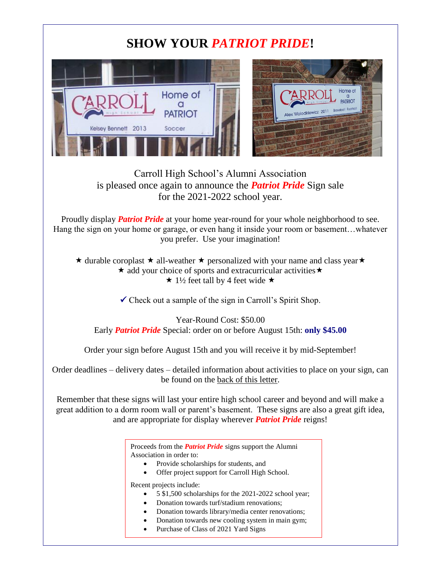## **SHOW YOUR** *PATRIOT PRIDE***!**

a<br>PATRIOT



## Carroll High School's Alumni Association is pleased once again to announce the *Patriot Pride* Sign sale for the 2021-2022 school year.

Proudly display *Patriot Pride* at your home year-round for your whole neighborhood to see. Hang the sign on your home or garage, or even hang it inside your room or basement…whatever you prefer. Use your imagination!

 $\star$  durable coroplast  $\star$  all-weather  $\star$  personalized with your name and class year  $\star$  $\star$  add your choice of sports and extracurricular activities  $\star$ 

 $\star$  1½ feet tall by 4 feet wide  $\star$ 

 $\checkmark$  Check out a sample of the sign in Carroll's Spirit Shop.

Year-Round Cost: \$50.00 Early *Patriot Pride* Special: order on or before August 15th: **only \$45.00**

Order your sign before August 15th and you will receive it by mid-September!

Order deadlines – delivery dates – detailed information about activities to place on your sign, can be found on the back of this letter.

Remember that these signs will last your entire high school career and beyond and will make a great addition to a dorm room wall or parent's basement. These signs are also a great gift idea, and are appropriate for display wherever *Patriot Pride* reigns!

> Proceeds from the *Patriot Pride* signs support the Alumni Association in order to:

- Provide scholarships for students, and
- Offer project support for Carroll High School.

Recent projects include:

- 5 \$1,500 scholarships for the 2021-2022 school year;
- Donation towards turf/stadium renovations;
- Donation towards library/media center renovations;
- Donation towards new cooling system in main gym;
- Purchase of Class of 2021 Yard Signs